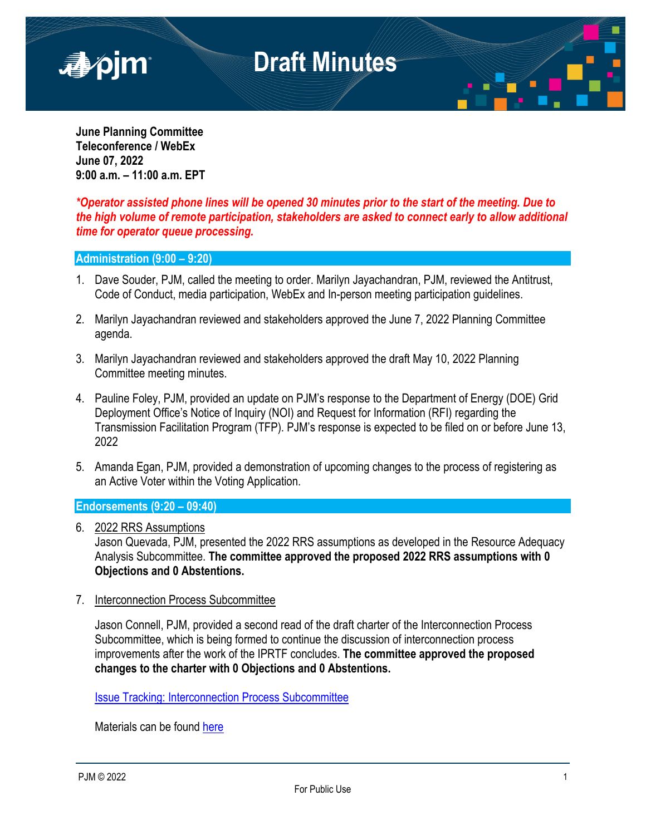

**June Planning Committee Teleconference / WebEx June 07, 2022 9:00 a.m. – 11:00 a.m. EPT** 

*\*Operator assisted phone lines will be opened 30 minutes prior to the start of the meeting. Due to the high volume of remote participation, stakeholders are asked to connect early to allow additional time for operator queue processing.*

### **Administration (9:00 – 9:20)**

- 1. Dave Souder, PJM, called the meeting to order. Marilyn Jayachandran, PJM, reviewed the Antitrust, Code of Conduct, media participation, WebEx and In-person meeting participation guidelines.
- 2. Marilyn Jayachandran reviewed and stakeholders approved the June 7, 2022 Planning Committee agenda.
- 3. Marilyn Jayachandran reviewed and stakeholders approved the draft May 10, 2022 Planning Committee meeting minutes.
- 4. Pauline Foley, PJM, provided an update on PJM's response to the Department of Energy (DOE) Grid Deployment Office's Notice of Inquiry (NOI) and Request for Information (RFI) regarding the Transmission Facilitation Program (TFP). PJM's response is expected to be filed on or before June 13, 2022
- 5. Amanda Egan, PJM, provided a demonstration of upcoming changes to the process of registering as an Active Voter within the Voting Application.

### **Endorsements (9:20 – 09:40)**

6. 2022 RRS Assumptions

Jason Quevada, PJM, presented the 2022 RRS assumptions as developed in the Resource Adequacy Analysis Subcommittee. **The committee approved the proposed 2022 RRS assumptions with 0 Objections and 0 Abstentions.**

7. Interconnection Process Subcommittee

Jason Connell, PJM, provided a second read of the draft charter of the Interconnection Process Subcommittee, which is being formed to continue the discussion of interconnection process improvements after the work of the IPRTF concludes. **The committee approved the proposed changes to the charter with 0 Objections and 0 Abstentions.**

[Issue Tracking: Interconnection Process Subcommittee](https://www.pjm.com/committees-and-groups/issue-tracking/issue-tracking-details.aspx?Issue=0caa55a8-041c-4365-8a44-46ad2420b148)

Materials can be found [here](https://www.pjm.com/committees-and-groups/task-forces/iprtf)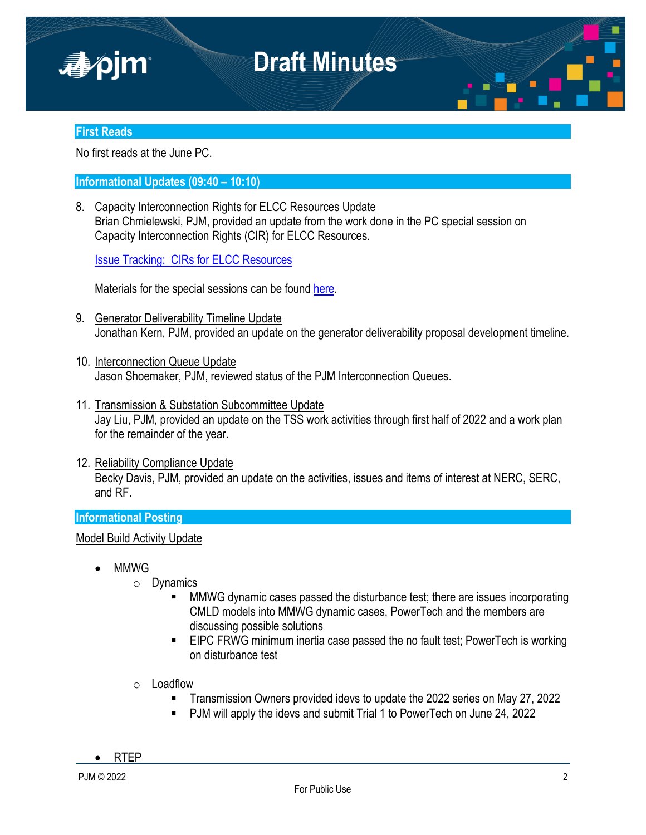

### **First Reads**

No first reads at the June PC.

### **Informational Updates (09:40 – 10:10)**

8. Capacity Interconnection Rights for ELCC Resources Update Brian Chmielewski, PJM, provided an update from the work done in the PC special session on Capacity Interconnection Rights (CIR) for ELCC Resources.

[Issue Tracking: CIRs for ELCC Resources](https://www.pjm.com/committees-and-groups/issue-tracking/issue-tracking-details.aspx?Issue=83aadda8-b6c1-4630-9483-025b6b93fc28)

Materials for the special sessions can be found [here](https://www.pjm.com/committees-and-groups/committees/pc).

- 9. Generator Deliverability Timeline Update Jonathan Kern, PJM, provided an update on the generator deliverability proposal development timeline.
- 10. Interconnection Queue Update Jason Shoemaker, PJM, reviewed status of the PJM Interconnection Queues.
- 11. Transmission & Substation Subcommittee Update Jay Liu, PJM, provided an update on the TSS work activities through first half of 2022 and a work plan for the remainder of the year.
- 12. Reliability Compliance Update Becky Davis, PJM, provided an update on the activities, issues and items of interest at NERC, SERC, and RF.

### **Informational Posting**

Model Build Activity Update

- MMWG
	- o Dynamics
		- MMWG dynamic cases passed the disturbance test; there are issues incorporating CMLD models into MMWG dynamic cases, PowerTech and the members are discussing possible solutions
		- **EIPC FRWG minimum inertia case passed the no fault test; PowerTech is working** on disturbance test
	- o Loadflow
		- Transmission Owners provided idevs to update the 2022 series on May 27, 2022
		- PJM will apply the idevs and submit Trial 1 to PowerTech on June 24, 2022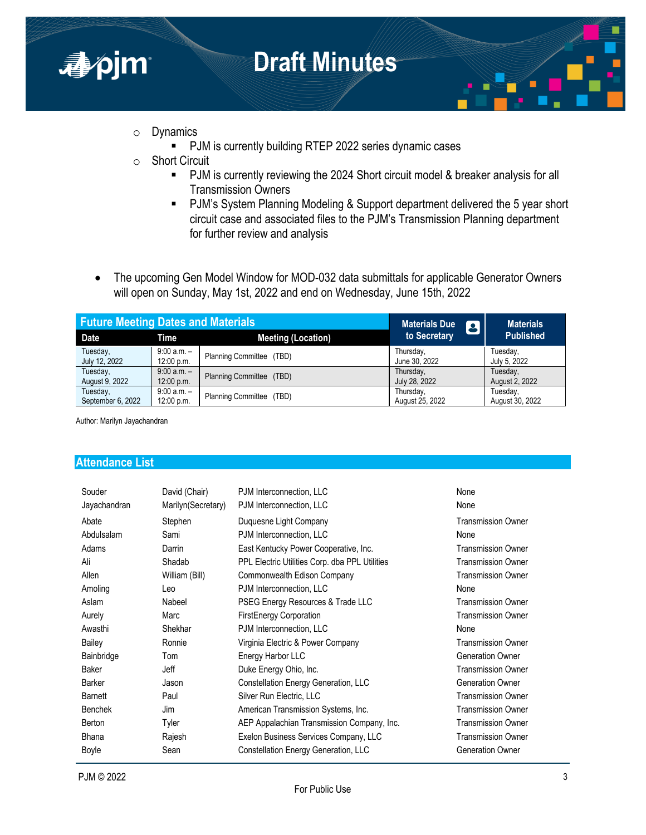

- o Dynamics
	- PJM is currently building RTEP 2022 series dynamic cases
- o Short Circuit
	- PJM is currently reviewing the 2024 Short circuit model & breaker analysis for all Transmission Owners
	- PJM's System Planning Modeling & Support department delivered the 5 year short circuit case and associated files to the PJM's Transmission Planning department for further review and analysis
- The upcoming Gen Model Window for MOD-032 data submittals for applicable Generator Owners will open on Sunday, May 1st, 2022 and end on Wednesday, June 15th, 2022

| <b>Future Meeting Dates and Materials</b> |               | <b>Materials Due</b><br>B | <b>Materials</b> |                  |
|-------------------------------------------|---------------|---------------------------|------------------|------------------|
| Date                                      | Time          | <b>Meeting (Location)</b> | to Secretary     | <b>Published</b> |
| Tuesday,                                  | $9:00 a.m. -$ | Planning Committee (TBD)  | Thursday,        | Tuesday,         |
| July 12, 2022                             | 12:00 p.m.    |                           | June 30, 2022    | July 5, 2022     |
| Tuesday,                                  | $9:00 a.m. -$ | Planning Committee (TBD)  | Thursday,        | Tuesday,         |
| August 9, 2022                            | 12:00 p.m.    |                           | July 28, 2022    | August 2, 2022   |
| Tuesday,                                  | $9:00 a.m. -$ | Planning Committee (TBD)  | Thursday,        | Tuesday,         |
| September 6, 2022                         | 12:00 p.m.    |                           | August 25, 2022  | August 30, 2022  |

Author: Marilyn Jayachandran

### **Attendance List**

| Souder         | David (Chair)       | PJM Interconnection, LLC                       | None                      |
|----------------|---------------------|------------------------------------------------|---------------------------|
| Jayachandran   | Marilyn (Secretary) | PJM Interconnection, LLC                       | None                      |
| Abate          | Stephen             | Duquesne Light Company                         | <b>Transmission Owner</b> |
| Abdulsalam     | Sami                | PJM Interconnection, LLC                       | None                      |
| Adams          | Darrin              | East Kentucky Power Cooperative, Inc.          | <b>Transmission Owner</b> |
| Ali            | Shadab              | PPL Electric Utilities Corp. dba PPL Utilities | <b>Transmission Owner</b> |
| Allen          | William (Bill)      | Commonwealth Edison Company                    | <b>Transmission Owner</b> |
| Amoling        | Leo                 | PJM Interconnection, LLC                       | None                      |
| Aslam          | Nabeel              | PSEG Energy Resources & Trade LLC              | <b>Transmission Owner</b> |
| Aurely         | Marc                | <b>FirstEnergy Corporation</b>                 | <b>Transmission Owner</b> |
| Awasthi        | Shekhar             | PJM Interconnection, LLC                       | None                      |
| Bailey         | Ronnie              | Virginia Electric & Power Company              | <b>Transmission Owner</b> |
| Bainbridge     | Tom                 | Energy Harbor LLC                              | <b>Generation Owner</b>   |
| Baker          | Jeff                | Duke Energy Ohio, Inc.                         | <b>Transmission Owner</b> |
| Barker         | Jason               | Constellation Energy Generation, LLC           | <b>Generation Owner</b>   |
| Barnett        | Paul                | Silver Run Electric, LLC                       | <b>Transmission Owner</b> |
| <b>Benchek</b> | Jim                 | American Transmission Systems, Inc.            | <b>Transmission Owner</b> |
| Berton         | Tyler               | AEP Appalachian Transmission Company, Inc.     | <b>Transmission Owner</b> |
| <b>Bhana</b>   | Rajesh              | Exelon Business Services Company, LLC          | <b>Transmission Owner</b> |
| Boyle          | Sean                | Constellation Energy Generation, LLC           | <b>Generation Owner</b>   |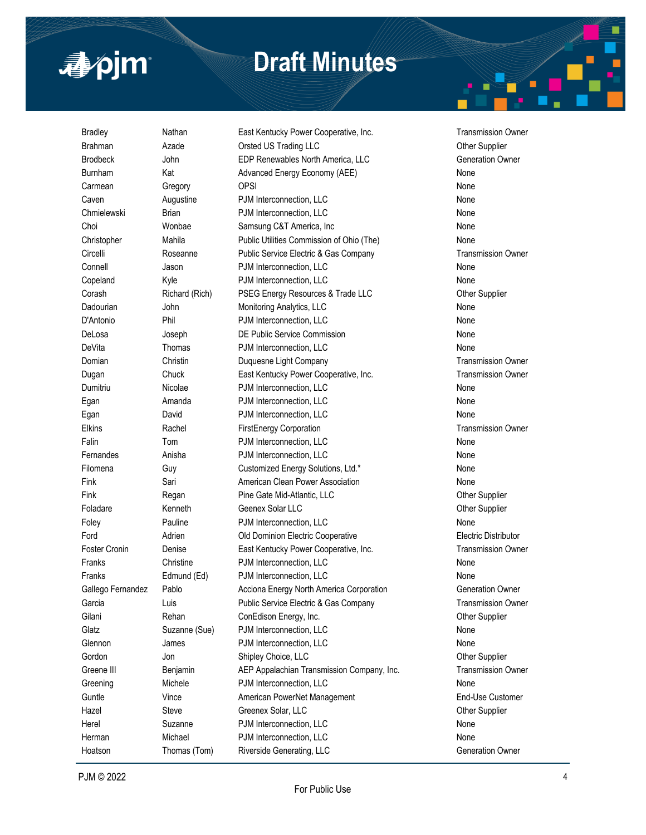

Bradley **Nathan** East Kentucky Power Cooperative, Inc. Transmission Owner Brahman **Azade Critical Constant Orsted US Trading LLC Changes Constant Constant Constant Or A** Brodbeck **Subset John CDP Renewables North America, LLC** Generation Owner Burnham Kat Kat Advanced Energy Economy (AEE) None Carmean Gregory OPSI None Caven **Augustine** PJM Interconnection, LLC **None** None Chmielewski Brian PJM Interconnection, LLC None Choi **Wonbae** Samsung C&T America, Inc **None** None Christopher Mahila Public Utilities Commission of Ohio (The) None Circelli Roseanne Public Service Electric & Gas Company Transmission Owner Connell Jason PJM Interconnection, LLC None Copeland Myle **Reserves** PJM Interconnection, LLC **None** None Corash **Richard (Rich)** PSEG Energy Resources & Trade LLC **Corash Differ Supplier** Dadourian **Subset Communist Communist Communist Communist Communist Communist Communist Communist Communist Communist Communist Communist Communist Communist Communist Communist Communist Communist Communist Communist Comm** D'Antonio Phil PJM Interconnection, LLC None DeLosa Joseph DE Public Service Commission None DeVita Thomas PJM Interconnection, LLC 700 and 700 None Domian **Christin** Duquesne Light Company **Transmission Owner** Company **Transmission** Owner Dugan Chuck East Kentucky Power Cooperative, Inc. Transmission Owner Dumitriu Nicolae PJM Interconnection, LLC None Egan Amanda PJM Interconnection, LLC None Egan David PJM Interconnection, LLC None Elkins **Rachel FirstEnergy Corporation FirstEnergy Corporation** Transmission Owner Falin Tom PJM Interconnection, LLC None Fernandes **Anisha** PJM Interconnection, LLC **None** None Filomena Guy Guy Customized Energy Solutions, Ltd.\* Customena Fink Sari Sari American Clean Power Association None Fink Regan Pine Gate Mid-Atlantic, LLC Chronic Communist Communist Person in Regan Foladare **Kenneth Geenex Solar LLC Connect Connect Solar Accord Connect Accord Connect Accord Connect Accord Connect Accord Connect Accord Connect Accord Connect Accord Connect Accord Connect Accord Connect Accord Connec** Foley **Pauline** PJM Interconnection, LLC **None** None Ford Adrien Old Dominion Electric Cooperative Electric Distributor Foster Cronin **Denise East Kentucky Power Cooperative, Inc.** Transmission Owner Franks **Christine** PJM Interconnection, LLC **None** Franks **Edmund (Ed)** PJM Interconnection, LLC **None** None Gallego Fernandez Pablo **Acciona Energy North America Corporation** Generation Owner Garcia **Carcia** Luis Public Service Electric & Gas Company Transmission Owner Gilani **Rehan** ConEdison Energy, Inc. Contest Cone Channel Cone Channel Cone Channel Cone Channel Cone Channel Cone Channel Cone Channel Cone Channel Cone Channel Cone Channel Cone Channel Cone Channel Cone Channel Channel Glatz Suzanne (Sue) PJM Interconnection, LLC CHANN None Glennon and James **Communist PJM Interconnection, LLC** and the state of the None Gordon Jon Jon Shipley Choice, LLC Jon Supplier Greene III Benjamin AEP Appalachian Transmission Company, Inc. Transmission Owner Greening Michele PJM Interconnection, LLC **None** Guntle **Community** Vince **American PowerNet Management American PowerNet Management End-Use Customer** Hazel Steve Greenex Solar, LLC Steve Greenex Solar, LLC Herel Suzanne PJM Interconnection, LLC None Herman Michael PJM Interconnection, LLC None

Hoatson Thomas (Tom) Riverside Generating, LLC Generation Owner

*As of June 13, 2022*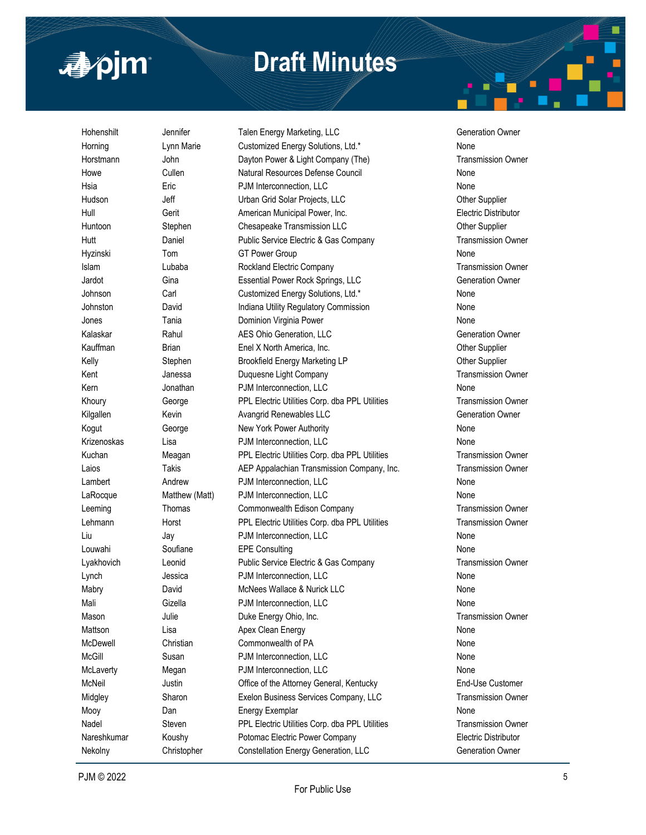

Hohenshilt **Subset Jennifer** Talen Energy Marketing, LLC Generation Owner Horning **Lynn Marie Customized Energy Solutions, Ltd.\*** None Horstmann John Dayton Power & Light Company (The) Transmission Owner Howe Cullen Natural Resources Defense Council None Hsia **Eric Example 2** Eric **PJM Interconnection, LLC None** Hudson **Jeff** Jeff Urban Grid Solar Projects, LLC **Communist Constanting Communist Communist Communist Communist Communist Communist Communist Communist Communist Communist Communist Communist Communist Communist Communist** Hull Gerit American Municipal Power, Inc. Electric Distributor Huntoon Stephen Chesapeake Transmission LLC Cheen Cher Supplier Hutt Daniel Public Service Electric & Gas Company Transmission Owner Hyzinski Tom GT Power Group None Islam Cubaba **Rockland Electric Company** Cubaba **Transmission Owner** Jardot Gina Essential Power Rock Springs, LLC Generation Owner Johnson Carl Carl Customized Energy Solutions, Ltd.\* None Johnston **David David** Indiana Utility Regulatory Commission **None** Jones Tania Dominion Virginia Power None Kalaskar **Rahul AES Ohio Generation, LLC** Generation Owner Kauffman Brian Brian Enel X North America, Inc. Changes and Cther Supplier Kelly Stephen Brookfield Energy Marketing LP Characters Other Supplier Kent **Transmission Company** Janessa Duquesne Light Company **Transmission Owner** Company Kern **Solution** Jonathan **PJM** Interconnection, LLC **None** None Khoury George PPL Electric Utilities Corp. dba PPL Utilities Transmission Owner Kilgallen **Kevin** Kevin Avangrid Renewables LLC **Generation Owner** Generation Owner Kogut George New York Power Authority None Krizenoskas Lisa **PJM Interconnection, LLC** None Kuchan **Meagan** PPL Electric Utilities Corp. dba PPL Utilities Transmission Owner Laios Takis AEP Appalachian Transmission Company, Inc. Transmission Owner Lambert Andrew PJM Interconnection, LLC None LaRocque Matthew (Matt) PJM Interconnection, LLC None Leeming Thomas Commonwealth Edison Company Transmission Owner Lehmann **Horst PPL Electric Utilities Corp.** dba PPL Utilities Transmission Owner Liu Jay Jay PJM Interconnection, LLC 2008 1991 1992 1994 Louwahi Soufiane EPE Consulting None None Lyakhovich Leonid Public Service Electric & Gas Company Transmission Owner Lynch **Connection** Jessica **PJM Interconnection, LLC None** Mabry **David** David McNees Wallace & Nurick LLC Mali Gizella PJM Interconnection, LLC Mason **Mason** Julie **Duke Energy Ohio, Inc.** Number 1986 **Transmission Owner** Channel Duke Energy Ohio, Inc. Mattson **Lisa** Lisa Apex Clean Energy **None** None McDewell Christian Commonwealth of PA None McGill Susan PJM Interconnection, LLC None McLaverty Megan PJM Interconnection, LLC None McNeil Justin Office of the Attorney General, Kentucky End-Use Customer Midgley **Sharon BExelon Business Services Company, LLC** Transmission Owner Mooy **Dan** Dan Energy Exemplar **None** None Nadel Steven PPL Electric Utilities Corp. dba PPL Utilities Transmission Owner

Nareshkumar Koushy Potomac Electric Power Company Electric Distributor Nekolny **Christopher Constellation Energy Generation, LLC** Generation Owner *As of June 13, 2022*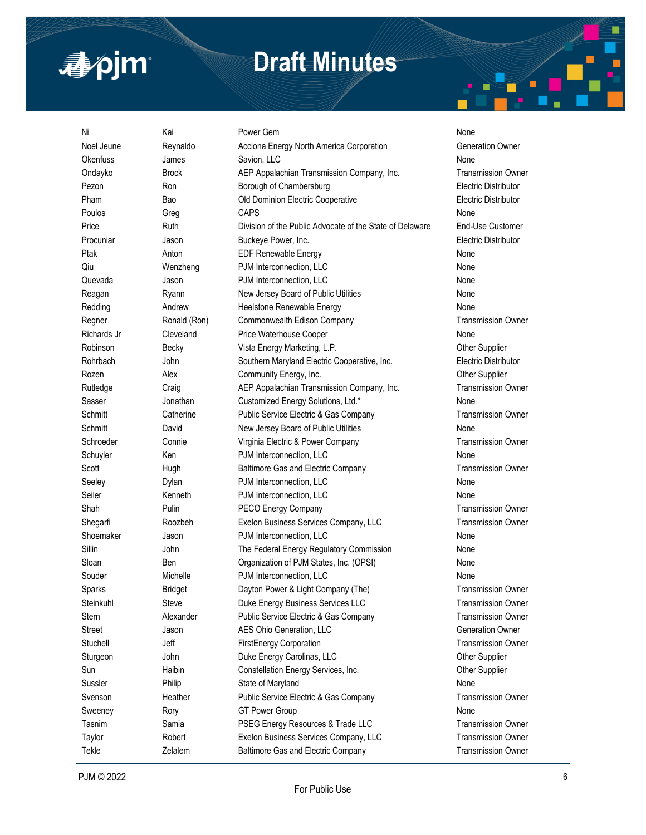

| Ni            | Kai            | Power Gem                                                | None                        |
|---------------|----------------|----------------------------------------------------------|-----------------------------|
| Noel Jeune    | Reynaldo       | Acciona Energy North America Corporation                 | Generation Owner            |
| Okenfuss      | James          | Savion, LLC                                              | None                        |
| Ondayko       | <b>Brock</b>   | AEP Appalachian Transmission Company, Inc.               | <b>Transmission Owner</b>   |
| Pezon         | Ron            | Borough of Chambersburg                                  | Electric Distributor        |
| Pham          | Bao            | Old Dominion Electric Cooperative                        | <b>Electric Distributor</b> |
| Poulos        | Greg           | <b>CAPS</b>                                              | None                        |
| Price         | Ruth           | Division of the Public Advocate of the State of Delaware | End-Use Customer            |
| Procuniar     | Jason          | Buckeye Power, Inc.                                      | Electric Distributor        |
| Ptak          | Anton          | <b>EDF Renewable Energy</b>                              | None                        |
| Qiu           | Wenzheng       | PJM Interconnection, LLC                                 | None                        |
| Quevada       | Jason          | PJM Interconnection, LLC                                 | None                        |
| Reagan        | Ryann          | New Jersey Board of Public Utilities                     | None                        |
| Redding       | Andrew         | Heelstone Renewable Energy                               | None                        |
| Regner        | Ronald (Ron)   | Commonwealth Edison Company                              | <b>Transmission Owner</b>   |
| Richards Jr   | Cleveland      | Price Waterhouse Cooper                                  | None                        |
| Robinson      | Becky          | Vista Energy Marketing, L.P.                             | Other Supplier              |
| Rohrbach      | John           | Southern Maryland Electric Cooperative, Inc.             | <b>Electric Distributor</b> |
| Rozen         | Alex           | Community Energy, Inc.                                   | Other Supplier              |
| Rutledge      | Craig          | AEP Appalachian Transmission Company, Inc.               | <b>Transmission Owner</b>   |
| Sasser        | Jonathan       | Customized Energy Solutions, Ltd.*                       | None                        |
| Schmitt       | Catherine      | Public Service Electric & Gas Company                    | <b>Transmission Owner</b>   |
| Schmitt       | David          | New Jersey Board of Public Utilities                     | None                        |
| Schroeder     | Connie         | Virginia Electric & Power Company                        | <b>Transmission Owner</b>   |
| Schuyler      | Ken            | PJM Interconnection, LLC                                 | None                        |
| Scott         | Hugh           | Baltimore Gas and Electric Company                       | <b>Transmission Owner</b>   |
| Seeley        | Dylan          | PJM Interconnection, LLC                                 | None                        |
| Seiler        | Kenneth        | PJM Interconnection, LLC                                 | None                        |
| Shah          | Pulin          | PECO Energy Company                                      | <b>Transmission Owner</b>   |
| Shegarfi      | Roozbeh        | Exelon Business Services Company, LLC                    | <b>Transmission Owner</b>   |
| Shoemaker     | Jason          | PJM Interconnection, LLC                                 | None                        |
| Sillin        | John           | The Federal Energy Regulatory Commission                 | None                        |
| Sloan         | Ben            | Organization of PJM States, Inc. (OPSI)                  | None                        |
| Souder        | Michelle       | PJM Interconnection, LLC                                 | None                        |
| Sparks        | <b>Bridget</b> | Dayton Power & Light Company (The)                       | <b>Transmission Owner</b>   |
| Steinkuhl     | Steve          | Duke Energy Business Services LLC                        | <b>Transmission Owner</b>   |
| Stern         | Alexander      | Public Service Electric & Gas Company                    | <b>Transmission Owner</b>   |
| <b>Street</b> | Jason          | AES Ohio Generation, LLC                                 | <b>Generation Owner</b>     |
| Stuchell      | Jeff           | FirstEnergy Corporation                                  | <b>Transmission Owner</b>   |
| Sturgeon      | John           | Duke Energy Carolinas, LLC                               | Other Supplier              |
| Sun           | Haibin         | Constellation Energy Services, Inc.                      | Other Supplier              |
| Sussler       | Philip         | State of Maryland                                        | None                        |
| Svenson       | Heather        | Public Service Electric & Gas Company                    | <b>Transmission Owner</b>   |
| Sweeney       | Rory           | <b>GT Power Group</b>                                    | None                        |
| Tasnim        | Samia          | PSEG Energy Resources & Trade LLC                        | <b>Transmission Owner</b>   |
| Taylor        | Robert         | Exelon Business Services Company, LLC                    | <b>Transmission Owner</b>   |
| Tekle         | Zelalem        | Baltimore Gas and Electric Company                       | <b>Transmission Owner</b>   |

*As of June 13, 2022*